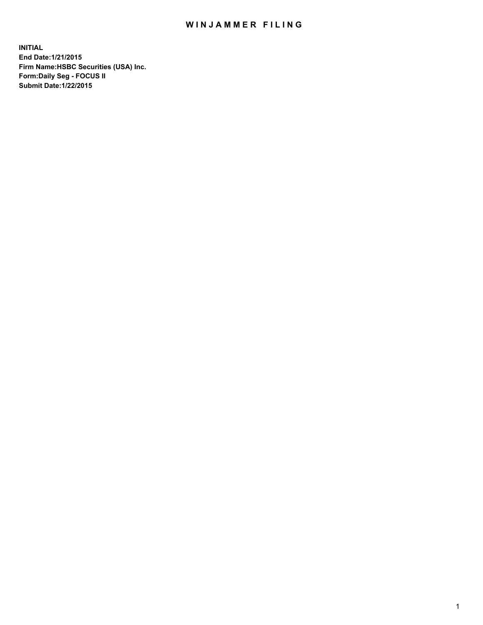## WIN JAMMER FILING

**INITIAL End Date:1/21/2015 Firm Name:HSBC Securities (USA) Inc. Form:Daily Seg - FOCUS II Submit Date:1/22/2015**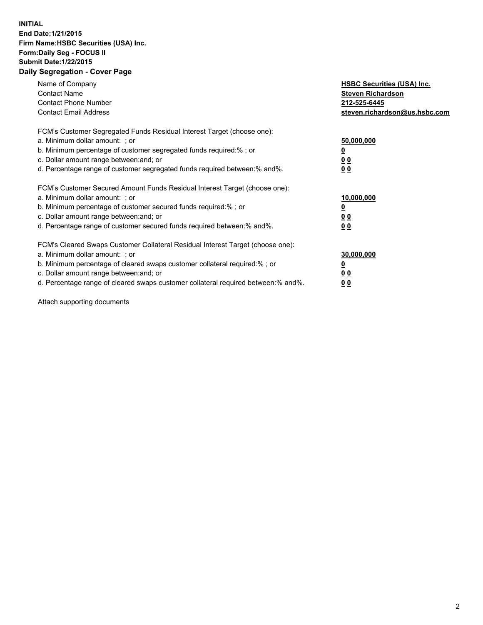## **INITIAL End Date:1/21/2015 Firm Name:HSBC Securities (USA) Inc. Form:Daily Seg - FOCUS II Submit Date:1/22/2015 Daily Segregation - Cover Page**

| Name of Company<br><b>Contact Name</b><br><b>Contact Phone Number</b><br><b>Contact Email Address</b>                                                                                                                                                                                                                          | <b>HSBC Securities (USA) Inc.</b><br><b>Steven Richardson</b><br>212-525-6445<br>steven.richardson@us.hsbc.com |
|--------------------------------------------------------------------------------------------------------------------------------------------------------------------------------------------------------------------------------------------------------------------------------------------------------------------------------|----------------------------------------------------------------------------------------------------------------|
| FCM's Customer Segregated Funds Residual Interest Target (choose one):<br>a. Minimum dollar amount: ; or<br>b. Minimum percentage of customer segregated funds required:%; or<br>c. Dollar amount range between: and; or<br>d. Percentage range of customer segregated funds required between: % and %.                        | 50,000,000<br>0 <sub>0</sub><br>0 <sub>0</sub>                                                                 |
| FCM's Customer Secured Amount Funds Residual Interest Target (choose one):<br>a. Minimum dollar amount: ; or<br>b. Minimum percentage of customer secured funds required:%; or<br>c. Dollar amount range between: and; or<br>d. Percentage range of customer secured funds required between:% and%.                            | 10,000,000<br><u>0</u><br>0 <sub>0</sub><br>0 <sub>0</sub>                                                     |
| FCM's Cleared Swaps Customer Collateral Residual Interest Target (choose one):<br>a. Minimum dollar amount: ; or<br>b. Minimum percentage of cleared swaps customer collateral required:% ; or<br>c. Dollar amount range between: and; or<br>d. Percentage range of cleared swaps customer collateral required between:% and%. | 30,000,000<br>00<br><u>00</u>                                                                                  |

Attach supporting documents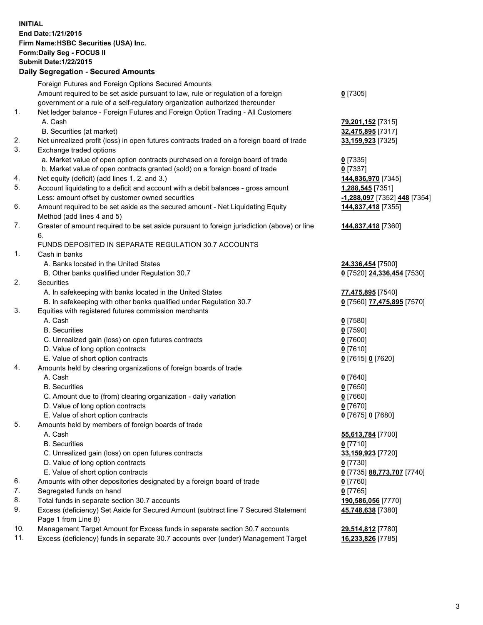**INITIAL End Date:1/21/2015 Firm Name:HSBC Securities (USA) Inc. Form:Daily Seg - FOCUS II Submit Date:1/22/2015 Daily Segregation - Secured Amounts**

Foreign Futures and Foreign Options Secured Amounts Amount required to be set aside pursuant to law, rule or regulation of a foreign government or a rule of a self-regulatory organization authorized thereunder **0** [7305] 1. Net ledger balance - Foreign Futures and Foreign Option Trading - All Customers A. Cash **79,201,152** [7315] B. Securities (at market) **32,475,895** [7317] 2. Net unrealized profit (loss) in open futures contracts traded on a foreign board of trade **33,159,923** [7325] 3. Exchange traded options a. Market value of open option contracts purchased on a foreign board of trade **0** [7335] b. Market value of open contracts granted (sold) on a foreign board of trade **0** [7337] 4. Net equity (deficit) (add lines 1. 2. and 3.) **144,836,970** [7345] 5. Account liquidating to a deficit and account with a debit balances - gross amount **1,288,545** [7351] Less: amount offset by customer owned securities **-1,288,097** [7352] **448** [7354] 6. Amount required to be set aside as the secured amount - Net Liquidating Equity Method (add lines 4 and 5) **144,837,418** [7355] 7. Greater of amount required to be set aside pursuant to foreign jurisdiction (above) or line 6. **144,837,418** [7360] FUNDS DEPOSITED IN SEPARATE REGULATION 30.7 ACCOUNTS 1. Cash in banks A. Banks located in the United States **24,336,454** [7500] B. Other banks qualified under Regulation 30.7 **0** [7520] **24,336,454** [7530] 2. Securities A. In safekeeping with banks located in the United States **77,475,895** [7540] B. In safekeeping with other banks qualified under Regulation 30.7 **0** [7560] **77,475,895** [7570] 3. Equities with registered futures commission merchants A. Cash **0** [7580] B. Securities **0** [7590] C. Unrealized gain (loss) on open futures contracts **0** [7600] D. Value of long option contracts **0** [7610] E. Value of short option contracts **0** [7615] **0** [7620] 4. Amounts held by clearing organizations of foreign boards of trade A. Cash **0** [7640] B. Securities **0** [7650] C. Amount due to (from) clearing organization - daily variation **0** [7660] D. Value of long option contracts **0** [7670] E. Value of short option contracts **0** [7675] **0** [7680] 5. Amounts held by members of foreign boards of trade A. Cash **55,613,784** [7700] B. Securities **0** [7710] C. Unrealized gain (loss) on open futures contracts **33,159,923** [7720] D. Value of long option contracts **0** [7730] E. Value of short option contracts **0** [7735] **88,773,707** [7740] 6. Amounts with other depositories designated by a foreign board of trade **0** [7760] 7. Segregated funds on hand **0** [7765] 8. Total funds in separate section 30.7 accounts **190,586,056** [7770] 9. Excess (deficiency) Set Aside for Secured Amount (subtract line 7 Secured Statement Page 1 from Line 8) **45,748,638** [7380] 10. Management Target Amount for Excess funds in separate section 30.7 accounts **29,514,812** [7780] 11. Excess (deficiency) funds in separate 30.7 accounts over (under) Management Target **16,233,826** [7785]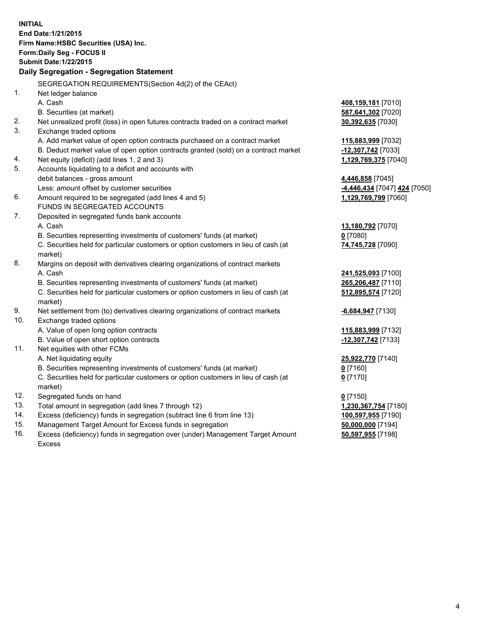| <b>INITIAL</b>                            | End Date: 1/21/2015<br>Firm Name: HSBC Securities (USA) Inc.<br>Form: Daily Seg - FOCUS II     |                                          |  |  |
|-------------------------------------------|------------------------------------------------------------------------------------------------|------------------------------------------|--|--|
| <b>Submit Date: 1/22/2015</b>             |                                                                                                |                                          |  |  |
| Daily Segregation - Segregation Statement |                                                                                                |                                          |  |  |
|                                           | SEGREGATION REQUIREMENTS(Section 4d(2) of the CEAct)                                           |                                          |  |  |
| 1.                                        | Net ledger balance                                                                             |                                          |  |  |
|                                           | A. Cash                                                                                        |                                          |  |  |
|                                           | B. Securities (at market)                                                                      | 408,159,181 [7010]<br>587,641,302 [7020] |  |  |
| 2.                                        | Net unrealized profit (loss) in open futures contracts traded on a contract market             | 30,392,635 [7030]                        |  |  |
| 3.                                        | Exchange traded options                                                                        |                                          |  |  |
|                                           | A. Add market value of open option contracts purchased on a contract market                    | 115,883,999 [7032]                       |  |  |
|                                           | B. Deduct market value of open option contracts granted (sold) on a contract market            | -12,307,742 [7033]                       |  |  |
| 4.                                        | Net equity (deficit) (add lines 1, 2 and 3)                                                    | 1,129,769,375 [7040]                     |  |  |
| 5.                                        | Accounts liquidating to a deficit and accounts with                                            |                                          |  |  |
|                                           | debit balances - gross amount                                                                  | 4,446,858 [7045]                         |  |  |
|                                           | Less: amount offset by customer securities                                                     | -4,446,434 [7047] 424 [7050]             |  |  |
| 6.                                        | Amount required to be segregated (add lines 4 and 5)                                           | 1,129,769,799 [7060]                     |  |  |
|                                           | FUNDS IN SEGREGATED ACCOUNTS                                                                   |                                          |  |  |
| 7.                                        | Deposited in segregated funds bank accounts                                                    |                                          |  |  |
|                                           | A. Cash                                                                                        | 13,180,792 [7070]                        |  |  |
|                                           | B. Securities representing investments of customers' funds (at market)                         | $0$ [7080]                               |  |  |
|                                           | C. Securities held for particular customers or option customers in lieu of cash (at<br>market) | 74,745,728 [7090]                        |  |  |
| 8.                                        | Margins on deposit with derivatives clearing organizations of contract markets                 |                                          |  |  |
|                                           | A. Cash                                                                                        | 241,525,093 [7100]                       |  |  |
|                                           | B. Securities representing investments of customers' funds (at market)                         | 265,206,487 [7110]                       |  |  |
|                                           | C. Securities held for particular customers or option customers in lieu of cash (at<br>market) | 512,895,574 [7120]                       |  |  |
| 9.                                        | Net settlement from (to) derivatives clearing organizations of contract markets                | $-6,684,947$ [7130]                      |  |  |
| 10.                                       | Exchange traded options                                                                        |                                          |  |  |
|                                           | A. Value of open long option contracts                                                         | 115,883,999 [7132]                       |  |  |
|                                           | B. Value of open short option contracts                                                        | -12,307,742 [7133]                       |  |  |
| 11.                                       | Net equities with other FCMs                                                                   |                                          |  |  |
|                                           | A. Net liquidating equity                                                                      | 25,922,770 [7140]                        |  |  |
|                                           | B. Securities representing investments of customers' funds (at market)                         | $0$ [7160]                               |  |  |
|                                           | C. Securities held for particular customers or option customers in lieu of cash (at<br>market) | $0$ [7170]                               |  |  |
| 12.                                       | Segregated funds on hand                                                                       | $0$ [7150]                               |  |  |
| 13.                                       | Total amount in segregation (add lines 7 through 12)                                           | 1,230,367,754 [7180]                     |  |  |
| 14.                                       | Excess (deficiency) funds in segregation (subtract line 6 from line 13)                        | 100,597,955 [7190]                       |  |  |
| 15.                                       | Management Target Amount for Excess funds in segregation                                       | 50,000,000 [7194]                        |  |  |
| 16.                                       | Excess (deficiency) funds in segregation over (under) Management Target Amount                 | 50,597,955 [7198]                        |  |  |

16. Excess (deficiency) funds in segregation over (under) Management Target Amount Excess